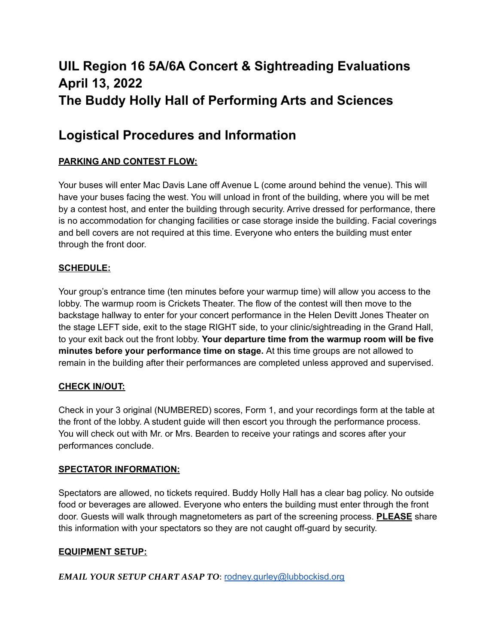# **UIL Region 16 5A/6A Concert & Sightreading Evaluations April 13, 2022 The Buddy Holly Hall of Performing Arts and Sciences**

## **Logistical Procedures and Information**

## **PARKING AND CONTEST FLOW:**

Your buses will enter Mac Davis Lane off Avenue L (come around behind the venue). This will have your buses facing the west. You will unload in front of the building, where you will be met by a contest host, and enter the building through security. Arrive dressed for performance, there is no accommodation for changing facilities or case storage inside the building. Facial coverings and bell covers are not required at this time. Everyone who enters the building must enter through the front door.

## **SCHEDULE:**

Your group's entrance time (ten minutes before your warmup time) will allow you access to the lobby. The warmup room is Crickets Theater. The flow of the contest will then move to the backstage hallway to enter for your concert performance in the Helen Devitt Jones Theater on the stage LEFT side, exit to the stage RIGHT side, to your clinic/sightreading in the Grand Hall, to your exit back out the front lobby. **Your departure time from the warmup room will be five minutes before your performance time on stage.** At this time groups are not allowed to remain in the building after their performances are completed unless approved and supervised.

## **CHECK IN/OUT:**

Check in your 3 original (NUMBERED) scores, Form 1, and your recordings form at the table at the front of the lobby. A student guide will then escort you through the performance process. You will check out with Mr. or Mrs. Bearden to receive your ratings and scores after your performances conclude.

#### **SPECTATOR INFORMATION:**

Spectators are allowed, no tickets required. Buddy Holly Hall has a clear bag policy. No outside food or beverages are allowed. Everyone who enters the building must enter through the front door. Guests will walk through magnetometers as part of the screening process. **PLEASE** share this information with your spectators so they are not caught off-guard by security.

#### **EQUIPMENT SETUP:**

*EMAIL YOUR SETUP CHART ASAP TO*: [rodney.gurley@lubbockisd.org](mailto:rodney.gurley@lubbockisd.org)